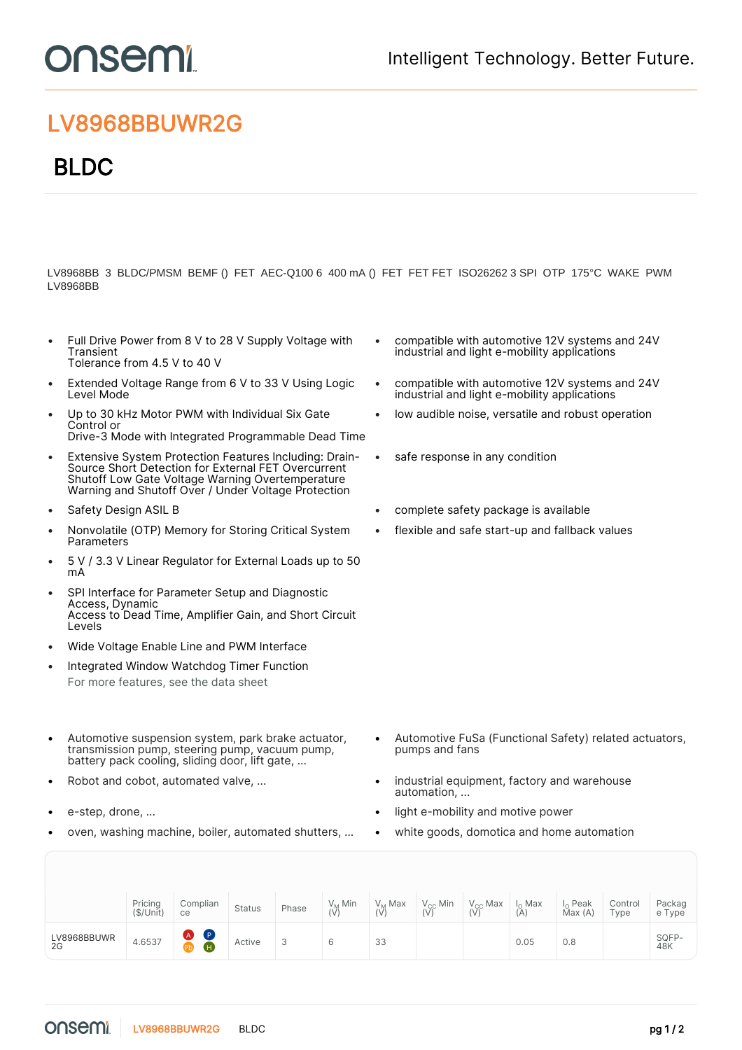## **DUSEMI**

## LV8968BBUWR2G

## BLDC

LV8968BB 3 BLDC/PMSM BEMF () FET AEC-Q100 6 400 mA () FET FET FET ISO26262 3 SPI OTP 175°C WAKE PWM LV8968BB

- Full Drive Power from 8 V to 28 V Supply Voltage with **Transient** Tolerance from 4.5 V to 40 V
- Extended Voltage Range from 6 V to 33 V Using Logic Level Mode
- Up to 30 kHz Motor PWM with Individual Six Gate Control or Drive-3 Mode with Integrated Programmable Dead Time
- Extensive System Protection Features Including: Drain-Source Short Detection for External FET Overcurrent Shutoff Low Gate Voltage Warning Overtemperature Warning and Shutoff Over / Under Voltage Protection
- 
- Nonvolatile (OTP) Memory for Storing Critical System Parameters
- 5 V / 3.3 V Linear Regulator for External Loads up to 50 mA
- SPI Interface for Parameter Setup and Diagnostic Access, Dynamic Access to Dead Time, Amplifier Gain, and Short Circuit Levels
- Wide Voltage Enable Line and PWM Interface
- Integrated Window Watchdog Timer Function For more features, see the [data sheet](https://www.onsemi.jp/PowerSolutions/product.do?id=LV8968BBUWR2G)
- Automotive suspension system, park brake actuator, transmission pump, steering pump, vacuum pump, battery pack cooling, sliding door, lift gate, ...
- 
- 
- oven, washing machine, boiler, automated shutters, ... white goods, domotica and home automation
- compatible with automotive 12V systems and 24V industrial and light e-mobility applications
- compatible with automotive 12V systems and 24V industrial and light e-mobility applications
- low audible noise, versatile and robust operation
- safe response in any condition
- Safety Design ASIL B complete safety package is available
	- flexible and safe start-up and fallback values

- Automotive FuSa (Functional Safety) related actuators, pumps and fans
- Robot and cobot, automated valve, ...  **Cooking the State of the industrial equipment**, factory and warehouse automation, ...
- e-step, drone, ... light e-mobility and motive power
	-

|                   | Pricing<br>(\$/Unit) | Complian<br>ce                              | <b>Status</b> | Phase | $V_M$ Min<br>(V | V <sub>M</sub> Max | $V_{\rm CC}$ Min | $V_{CC}$ Max | I <sub>o</sub> Max<br>(A) | I <sub>o</sub> Peak<br>Max (A) | Control<br>Type | Packag<br>e Type |
|-------------------|----------------------|---------------------------------------------|---------------|-------|-----------------|--------------------|------------------|--------------|---------------------------|--------------------------------|-----------------|------------------|
| LV8968BBUWR<br>2G | 4.6537               | (P)<br>$\triangle$<br>P <sub>b</sub><br>(Η, | Active        |       |                 | 33                 |                  |              | 0.05                      | 0.8                            |                 | SQFP-<br>48K     |